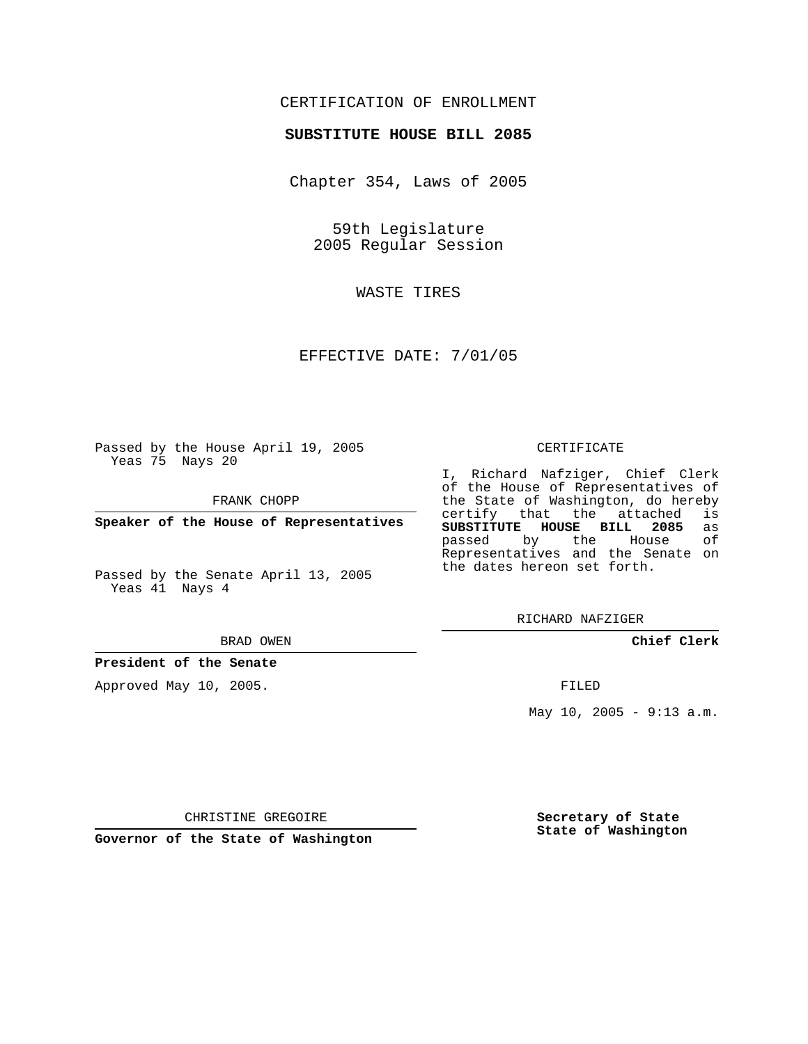## CERTIFICATION OF ENROLLMENT

### **SUBSTITUTE HOUSE BILL 2085**

Chapter 354, Laws of 2005

59th Legislature 2005 Regular Session

WASTE TIRES

EFFECTIVE DATE: 7/01/05

Passed by the House April 19, 2005 Yeas 75 Nays 20

FRANK CHOPP

**Speaker of the House of Representatives**

Passed by the Senate April 13, 2005 Yeas 41 Nays 4

#### BRAD OWEN

**President of the Senate**

Approved May 10, 2005.

### CERTIFICATE

I, Richard Nafziger, Chief Clerk of the House of Representatives of the State of Washington, do hereby<br>certify that the attached is certify that the attached **SUBSTITUTE HOUSE BILL 2085** as passed by the Representatives and the Senate on the dates hereon set forth.

RICHARD NAFZIGER

**Chief Clerk**

FILED

May 10, 2005 - 9:13 a.m.

CHRISTINE GREGOIRE

**Governor of the State of Washington**

**Secretary of State State of Washington**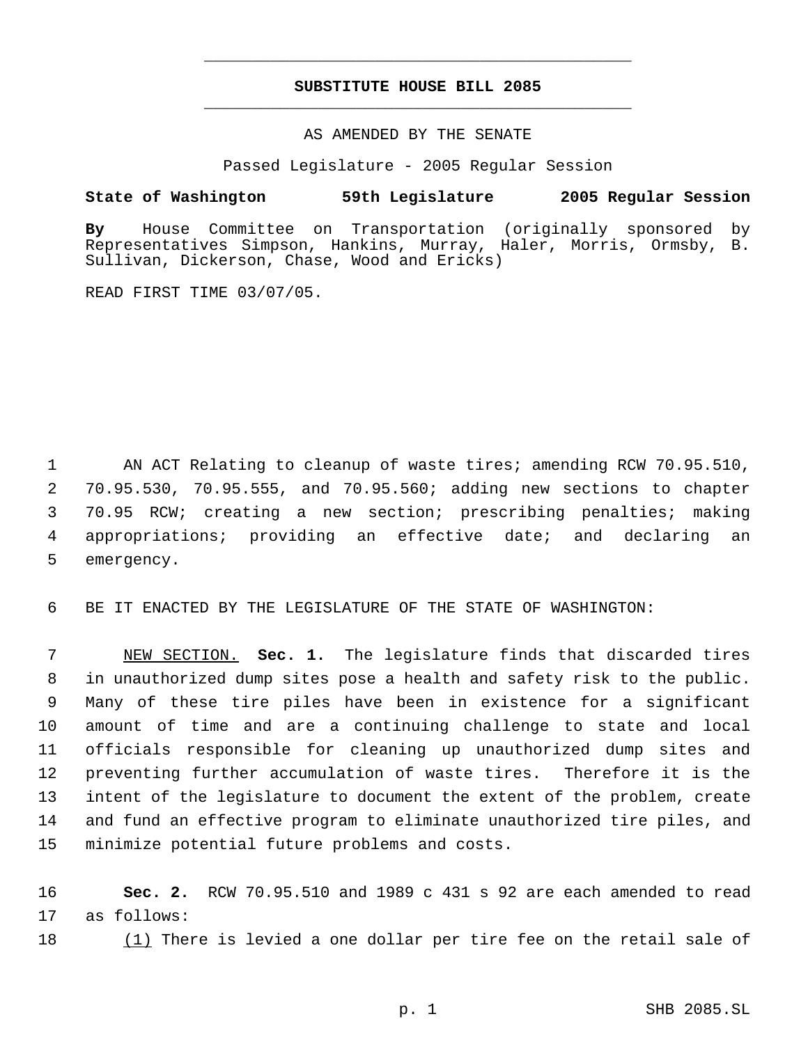# **SUBSTITUTE HOUSE BILL 2085** \_\_\_\_\_\_\_\_\_\_\_\_\_\_\_\_\_\_\_\_\_\_\_\_\_\_\_\_\_\_\_\_\_\_\_\_\_\_\_\_\_\_\_\_\_

\_\_\_\_\_\_\_\_\_\_\_\_\_\_\_\_\_\_\_\_\_\_\_\_\_\_\_\_\_\_\_\_\_\_\_\_\_\_\_\_\_\_\_\_\_

### AS AMENDED BY THE SENATE

Passed Legislature - 2005 Regular Session

### **State of Washington 59th Legislature 2005 Regular Session**

**By** House Committee on Transportation (originally sponsored by Representatives Simpson, Hankins, Murray, Haler, Morris, Ormsby, B. Sullivan, Dickerson, Chase, Wood and Ericks)

READ FIRST TIME 03/07/05.

 AN ACT Relating to cleanup of waste tires; amending RCW 70.95.510, 70.95.530, 70.95.555, and 70.95.560; adding new sections to chapter 70.95 RCW; creating a new section; prescribing penalties; making appropriations; providing an effective date; and declaring an emergency.

6 BE IT ENACTED BY THE LEGISLATURE OF THE STATE OF WASHINGTON:

 NEW SECTION. **Sec. 1.** The legislature finds that discarded tires in unauthorized dump sites pose a health and safety risk to the public. Many of these tire piles have been in existence for a significant amount of time and are a continuing challenge to state and local officials responsible for cleaning up unauthorized dump sites and preventing further accumulation of waste tires. Therefore it is the intent of the legislature to document the extent of the problem, create and fund an effective program to eliminate unauthorized tire piles, and minimize potential future problems and costs.

16 **Sec. 2.** RCW 70.95.510 and 1989 c 431 s 92 are each amended to read 17 as follows:

18 (1) There is levied a one dollar per tire fee on the retail sale of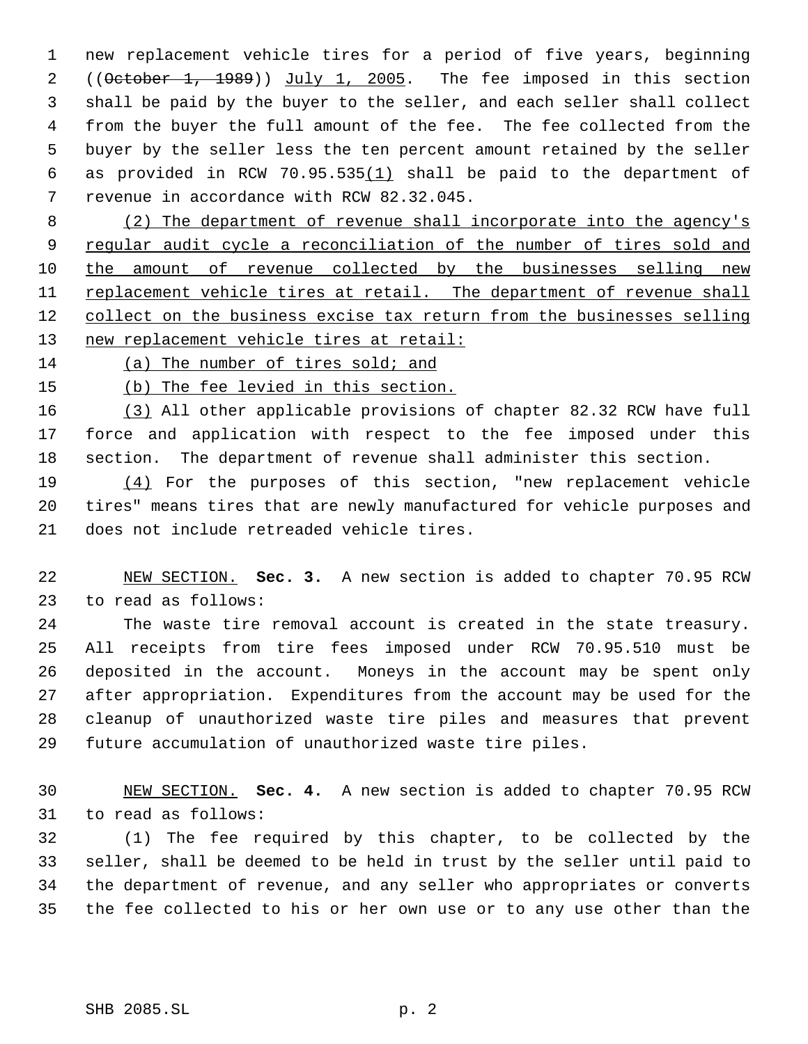new replacement vehicle tires for a period of five years, beginning 2 ((October 1, 1989)) July 1, 2005. The fee imposed in this section shall be paid by the buyer to the seller, and each seller shall collect from the buyer the full amount of the fee. The fee collected from the buyer by the seller less the ten percent amount retained by the seller as provided in RCW 70.95.535(1) shall be paid to the department of revenue in accordance with RCW 82.32.045.

8 (2) The department of revenue shall incorporate into the agency's 9 regular audit cycle a reconciliation of the number of tires sold and 10 the amount of revenue collected by the businesses selling new 11 replacement vehicle tires at retail. The department of revenue shall 12 collect on the business excise tax return from the businesses selling 13 new replacement vehicle tires at retail:

(a) The number of tires sold; and

(b) The fee levied in this section.

 (3) All other applicable provisions of chapter 82.32 RCW have full force and application with respect to the fee imposed under this section. The department of revenue shall administer this section.

19 (4) For the purposes of this section, "new replacement vehicle tires" means tires that are newly manufactured for vehicle purposes and does not include retreaded vehicle tires.

 NEW SECTION. **Sec. 3.** A new section is added to chapter 70.95 RCW to read as follows:

 The waste tire removal account is created in the state treasury. All receipts from tire fees imposed under RCW 70.95.510 must be deposited in the account. Moneys in the account may be spent only after appropriation. Expenditures from the account may be used for the cleanup of unauthorized waste tire piles and measures that prevent future accumulation of unauthorized waste tire piles.

 NEW SECTION. **Sec. 4.** A new section is added to chapter 70.95 RCW to read as follows:

 (1) The fee required by this chapter, to be collected by the seller, shall be deemed to be held in trust by the seller until paid to the department of revenue, and any seller who appropriates or converts the fee collected to his or her own use or to any use other than the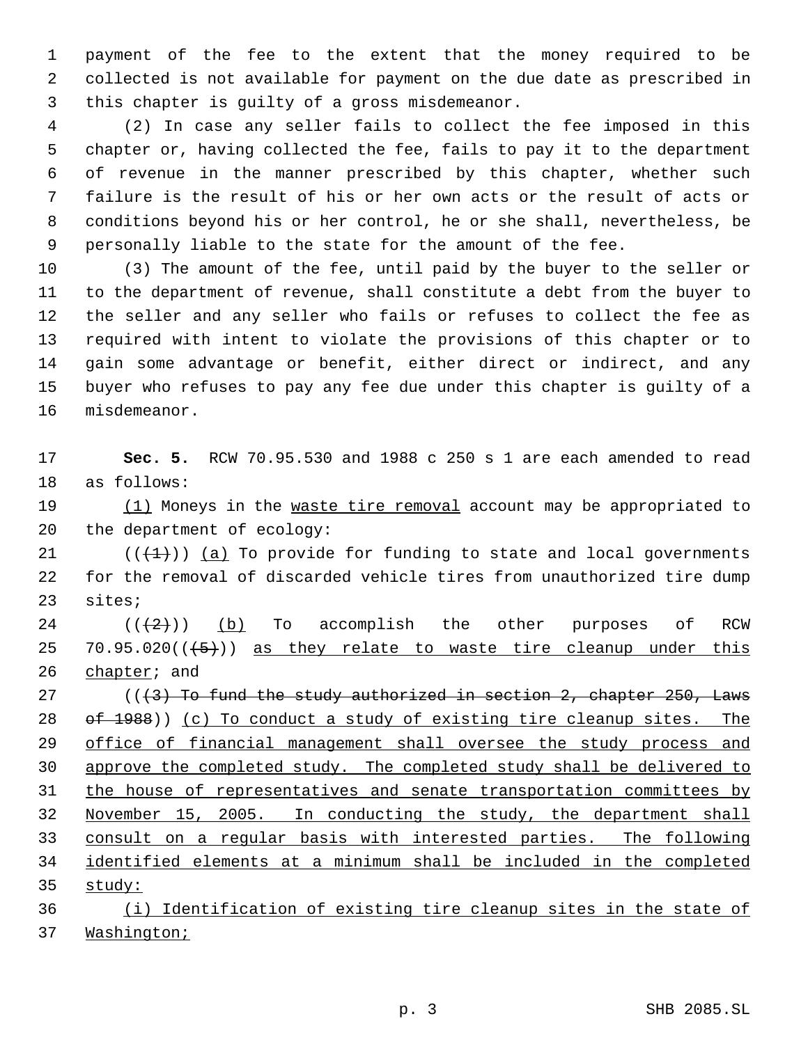payment of the fee to the extent that the money required to be collected is not available for payment on the due date as prescribed in this chapter is guilty of a gross misdemeanor.

 (2) In case any seller fails to collect the fee imposed in this chapter or, having collected the fee, fails to pay it to the department of revenue in the manner prescribed by this chapter, whether such failure is the result of his or her own acts or the result of acts or conditions beyond his or her control, he or she shall, nevertheless, be personally liable to the state for the amount of the fee.

 (3) The amount of the fee, until paid by the buyer to the seller or to the department of revenue, shall constitute a debt from the buyer to the seller and any seller who fails or refuses to collect the fee as required with intent to violate the provisions of this chapter or to gain some advantage or benefit, either direct or indirect, and any buyer who refuses to pay any fee due under this chapter is guilty of a misdemeanor.

 **Sec. 5.** RCW 70.95.530 and 1988 c 250 s 1 are each amended to read as follows:

19 (1) Moneys in the waste tire removal account may be appropriated to the department of ecology:

21  $((+1))$  (a) To provide for funding to state and local governments for the removal of discarded vehicle tires from unauthorized tire dump sites;

 $((2))$  (b) To accomplish the other purposes of RCW 25 70.95.020 $((+5))$  as they relate to waste tire cleanup under this 26 chapter; and

 $(1/3)$  To fund the study authorized in section 2, chapter 250, Laws  $\sigma$   $\leftarrow$  1988)) (c) To conduct a study of existing tire cleanup sites. The 29 office of financial management shall oversee the study process and approve the completed study. The completed study shall be delivered to the house of representatives and senate transportation committees by November 15, 2005. In conducting the study, the department shall consult on a regular basis with interested parties. The following identified elements at a minimum shall be included in the completed study:

 (i) Identification of existing tire cleanup sites in the state of Washington;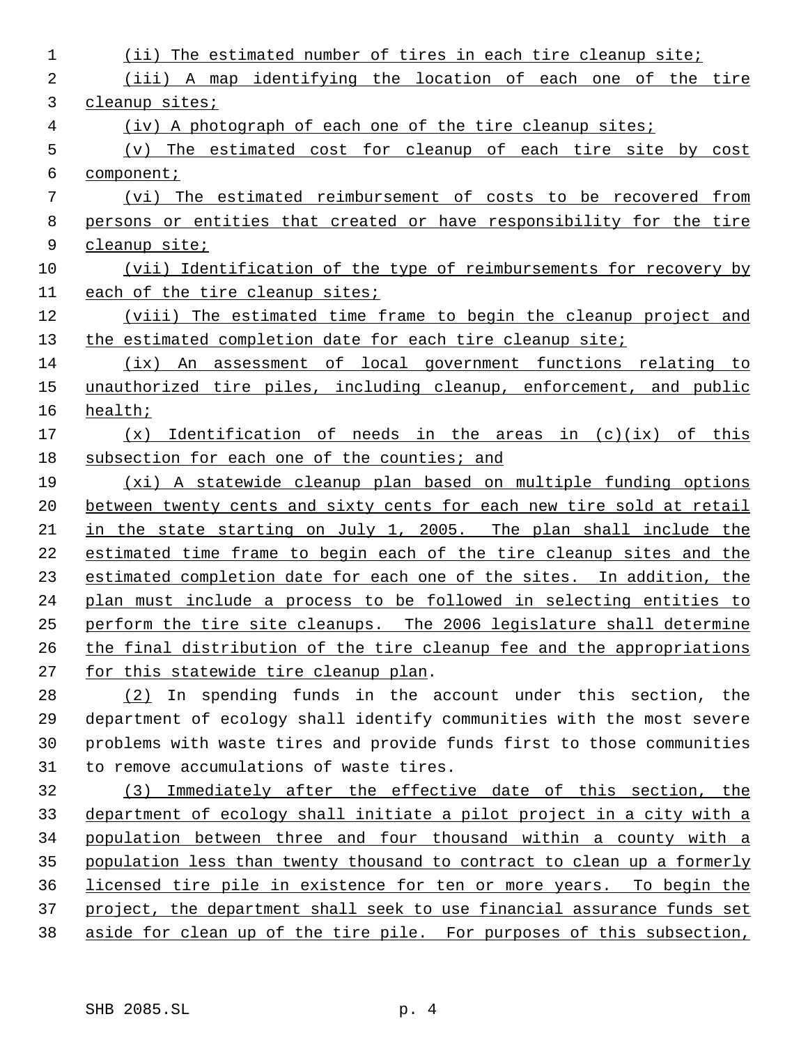| 1  | The estimated number of tires in each tire cleanup site;<br>(i)        |
|----|------------------------------------------------------------------------|
| 2  | (iii) A map identifying the location of each one of the tire           |
| 3  | cleanup sites;                                                         |
| 4  | (iv) A photograph of each one of the tire cleanup sites;               |
| 5  | (v) The estimated cost for cleanup of each tire site by cost           |
| 6  | component;                                                             |
| 7  | (vi) The estimated reimbursement of costs to be recovered from         |
| 8  | persons or entities that created or have responsibility for the tire   |
| 9  | cleanup site;                                                          |
| 10 | (vii) Identification of the type of reimbursements for recovery by     |
| 11 | each of the tire cleanup sites;                                        |
| 12 | (viii) The estimated time frame to begin the cleanup project and       |
| 13 | the estimated completion date for each tire cleanup site;              |
| 14 | (ix) An assessment of local government functions relating to           |
| 15 | unauthorized tire piles, including cleanup, enforcement, and public    |
| 16 | health;                                                                |
| 17 | $(x)$ Identification of needs in the areas in $(c)(ix)$ of this        |
| 18 | subsection for each one of the counties; and                           |
| 19 | (xi) A statewide cleanup plan based on multiple funding options        |
| 20 | between twenty cents and sixty cents for each new tire sold at retail  |
| 21 | in the state starting on July 1, 2005. The plan shall include the      |
| 22 | estimated time frame to begin each of the tire cleanup sites and the   |
| 23 | estimated completion date for each one of the sites. In addition, the  |
| 24 | plan must include a process to be followed in selecting entities to    |
| 25 | perform the tire site cleanups. The 2006 legislature shall determine   |
| 26 | the final distribution of the tire cleanup fee and the appropriations  |
| 27 | for this statewide tire cleanup plan.                                  |
| 28 | $(2)$ In spending funds in the account under this section, the         |
| 29 | department of ecology shall identify communities with the most severe  |
| 30 | problems with waste tires and provide funds first to those communities |
| 31 | to remove accumulations of waste tires.                                |

 (3) Immediately after the effective date of this section, the department of ecology shall initiate a pilot project in a city with a population between three and four thousand within a county with a population less than twenty thousand to contract to clean up a formerly licensed tire pile in existence for ten or more years. To begin the 37 project, the department shall seek to use financial assurance funds set aside for clean up of the tire pile. For purposes of this subsection,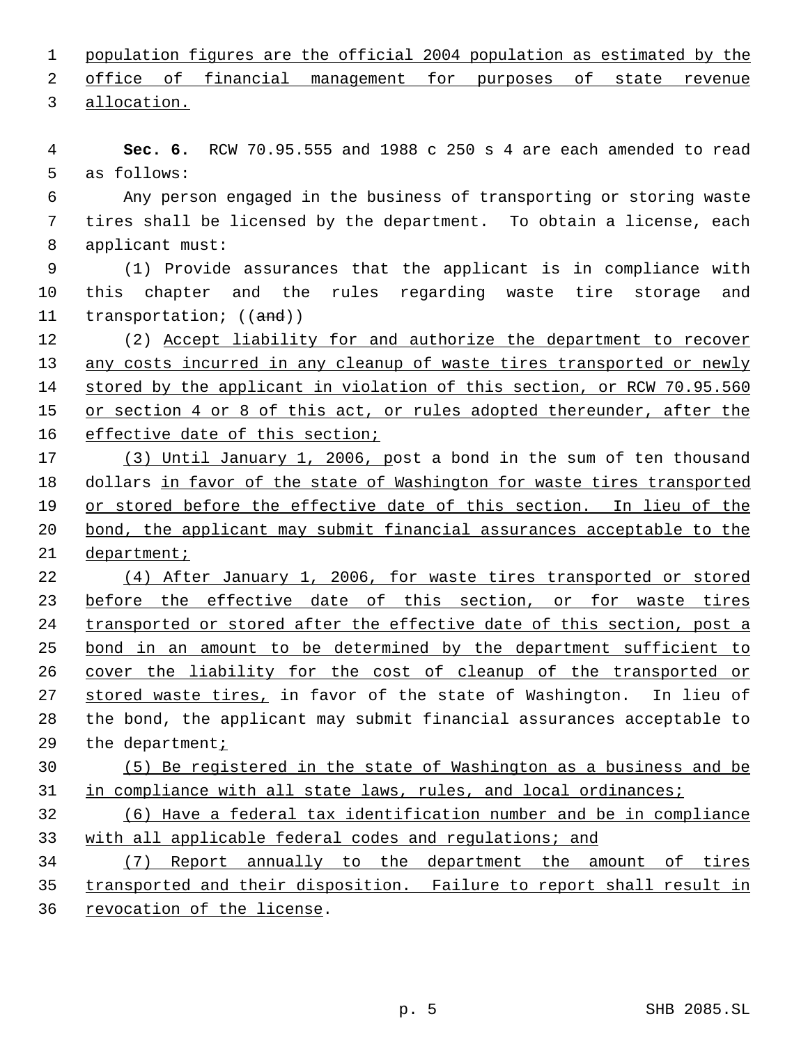population figures are the official 2004 population as estimated by the

 office of financial management for purposes of state revenue allocation.

 **Sec. 6.** RCW 70.95.555 and 1988 c 250 s 4 are each amended to read as follows:

 Any person engaged in the business of transporting or storing waste tires shall be licensed by the department. To obtain a license, each applicant must:

 (1) Provide assurances that the applicant is in compliance with this chapter and the rules regarding waste tire storage and 11 transportation; ((and))

12 (2) Accept liability for and authorize the department to recover any costs incurred in any cleanup of waste tires transported or newly 14 stored by the applicant in violation of this section, or RCW 70.95.560 15 or section 4 or 8 of this act, or rules adopted thereunder, after the 16 effective date of this section;

 (3) Until January 1, 2006, post a bond in the sum of ten thousand dollars in favor of the state of Washington for waste tires transported 19 or stored before the effective date of this section. In lieu of the bond, the applicant may submit financial assurances acceptable to the 21 department;

 (4) After January 1, 2006, for waste tires transported or stored 23 before the effective date of this section, or for waste tires transported or stored after the effective date of this section, post a bond in an amount to be determined by the department sufficient to 26 cover the liability for the cost of cleanup of the transported or 27 stored waste tires, in favor of the state of Washington. In lieu of the bond, the applicant may submit financial assurances acceptable to 29 the department<sub>i</sub>

# (5) Be registered in the state of Washington as a business and be in compliance with all state laws, rules, and local ordinances;

 (6) Have a federal tax identification number and be in compliance with all applicable federal codes and regulations; and

 (7) Report annually to the department the amount of tires transported and their disposition. Failure to report shall result in revocation of the license.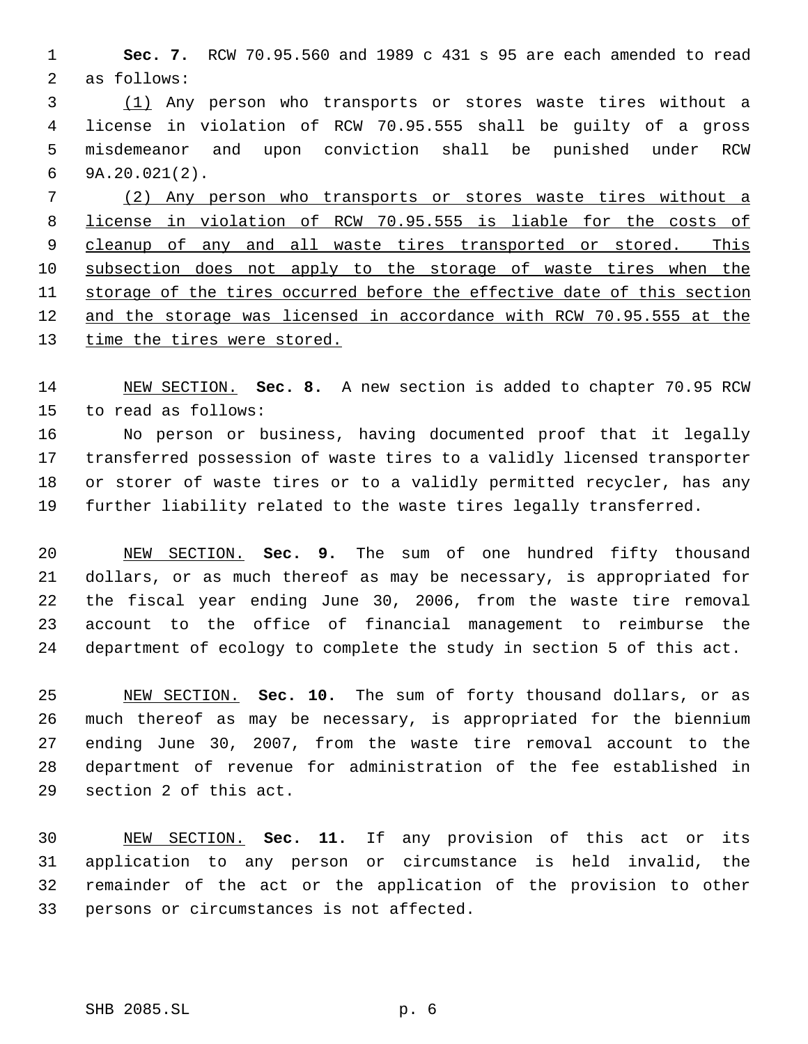**Sec. 7.** RCW 70.95.560 and 1989 c 431 s 95 are each amended to read as follows:

 (1) Any person who transports or stores waste tires without a license in violation of RCW 70.95.555 shall be guilty of a gross misdemeanor and upon conviction shall be punished under RCW 9A.20.021(2).

 (2) Any person who transports or stores waste tires without a license in violation of RCW 70.95.555 is liable for the costs of 9 cleanup of any and all waste tires transported or stored. This subsection does not apply to the storage of waste tires when the storage of the tires occurred before the effective date of this section and the storage was licensed in accordance with RCW 70.95.555 at the 13 time the tires were stored.

 NEW SECTION. **Sec. 8.** A new section is added to chapter 70.95 RCW to read as follows:

 No person or business, having documented proof that it legally transferred possession of waste tires to a validly licensed transporter or storer of waste tires or to a validly permitted recycler, has any further liability related to the waste tires legally transferred.

 NEW SECTION. **Sec. 9.** The sum of one hundred fifty thousand dollars, or as much thereof as may be necessary, is appropriated for the fiscal year ending June 30, 2006, from the waste tire removal account to the office of financial management to reimburse the department of ecology to complete the study in section 5 of this act.

 NEW SECTION. **Sec. 10.** The sum of forty thousand dollars, or as much thereof as may be necessary, is appropriated for the biennium ending June 30, 2007, from the waste tire removal account to the department of revenue for administration of the fee established in section 2 of this act.

 NEW SECTION. **Sec. 11.** If any provision of this act or its application to any person or circumstance is held invalid, the remainder of the act or the application of the provision to other persons or circumstances is not affected.